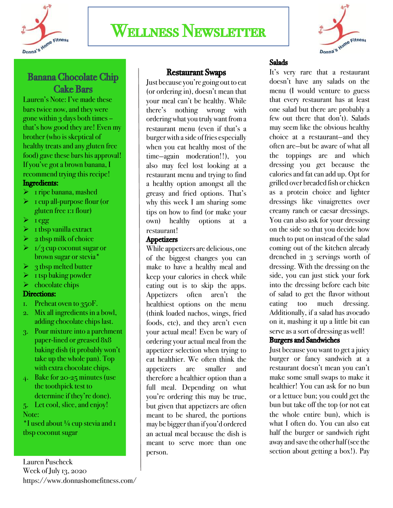

# Wellness Newsletter



# Banana Chocolate Chip **Cake Bars**<br>Lauren's Note: I've made these

bars twice now, and they were gone within  $3$  days both times – that's how good they are! Even my brother (who is skeptical of healthy treats and any gluten free food) gave these bars his approval! If you've got a brown banana, I recommend trying this recipe! Ingredients:

- $\triangleright$  1 ripe banana, mashed
- $\triangleright$  1 cup all-purpose flour (or gluten free 1:1 flour)
- $\blacktriangleright$  1 egg
- $\triangleright$  1 tbsp vanilla extract
- $\geq 2$  tbsp milk of choice
- $\blacktriangleright$  1/3 cup coconut sugar or brown sugar or stevia\*
- Ø 3 tbsp melted butter
- $\triangleright$  1 tsp baking powder

### $\triangleright$  chocolate chips

### Directions:

- 1. Preheat oven to 350F.
- 2. Mix all ingredients in a bowl, adding chocolate chips last.
- 3. Pour mixture into a parchment paper-lined or greased 8x8 baking dish (it probably won't take up the whole pan). Top with extra chocolate chips.
- 4. Bake for 20-25 minutes (use the toothpick test to determine if they're done).
- 5. Let cool, slice, and enjoy! Note:

 $*I$  used about  $\frac{1}{4}$  cup stevia and  $I$ tbsp coconut sugar

# Restaurant Swaps

Just because you're going out to eat (or ordering in), doesn't mean that your meal can't be healthy. While there's nothing wrong with ordering what you truly want from a restaurant menu (even if that's a burger with a side of fries especially when you eat healthy most of the time—again moderation!!), you also may feel lost looking at a restaurant menu and trying to find a healthy option amongst all the greasy and fried options. That's why this week I am sharing some tips on how to find (or make your own) healthy options at a restaurant!

### **Appetizers**

While appetizers are delicious, one of the biggest changes you can make to have a healthy meal and keep your calories in check while eating out is to skip the apps. Appetizers often aren't the healthiest options on the menu (think loaded nachos, wings, fried foods, etc), and they aren't even your actual meal! Even be wary of ordering your actual meal from the appetizer selection when trying to eat healthier. We often think the appetizers are smaller and therefore a healthier option than a full meal. Depending on what you're ordering this may be true, but given that appetizers are often meant to be shared, the portions may be bigger than if you'd ordered an actual meal because the dish is meant to serve more than one person.

### Salads

It's very rare that a restaurant doesn't have any salads on the menu (I would venture to guess that every restaurant has at least one salad but there are probably a few out there that don't). Salads may seem like the obvious healthy choice at a restaurant—and they often are—but be aware of what all the toppings are and which dressing you get because the calories and fat can add up. Opt for grilled over breaded fish or chicken as a protein choice and lighter dressings like vinaigrettes over creamy ranch or caesar dressings. You can also ask for your dressing on the side so that you decide how much to put on instead of the salad coming out of the kitchen already drenched in 3 servings worth of dressing. With the dressing on the side, you can just stick your fork into the dressing before each bite of salad to get the flavor without eating too much dressing. Additionally, if a salad has avocado on it, mashing it up a little bit can serve as a sort of dressing as well!

# Burgers and Sandwiches

Just because you want to get a juicy burger or fancy sandwich at a restaurant doesn't mean you can't make some small swaps to make it healthier! You can ask for no bun or a lettuce bun; you could get the bun but take off the top (or not eat the whole entire bun), which is what I often do. You can also eat half the burger or sandwich right away and save the other half (see the section about getting a box!). Pay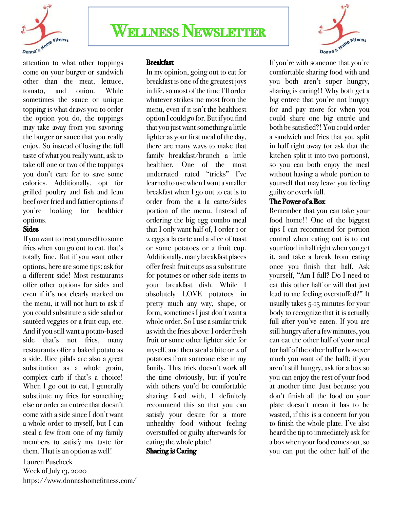

# Wellness Newsletter



attention to what other toppings come on your burger or sandwich other than the meat, lettuce, tomato, and onion. While sometimes the sauce or unique topping is what draws you to order the option you do, the toppings may take away from you savoring the burger or sauce that you really enjoy. So instead of losing the full taste of what you really want, ask to take off one or two of the toppings you don't care for to save some calories. Additionally, opt for grilled poultry and fish and lean beef over fried and fattier options if you're looking for healthier options.

### **Sides**

If you want to treat yourself to some fries when you go out to eat, that's totally fine. But if you want other options, here are some tips: ask for a different side! Most restaurants offer other options for sides and even if it's not clearly marked on the menu, it will not hurt to ask if you could substitute a side salad or sautéed veggies or a fruit cup, etc. And if you still want a potato-based side that's not fries, many restaurants offer a baked potato as a side. Rice pilafs are also a great substitution as a whole grain, complex carb if that's a choice! When I go out to eat, I generally substitute my fries for something else or order an entrée that doesn't come with a side since I don't want a whole order to myself, but I can steal a few from one of my family members to satisfy my taste for them. That is an option as well!

Lauren Puscheck Week of July 13, 2020 https://www.donnashomefitness.com/

## Breakfast

In my opinion, going out to eat for breakfast is one of the greatest joys in life, so most of the time I'll order whatever strikes me most from the menu, even if it isn't the healthiest option I could go for. But if you find that you just want something a little lighter as your first meal of the day, there are many ways to make that family breakfast/brunch a little healthier. One of the most underrated rated "tricks" I've learned to use when I want a smaller breakfast when I go out to eat is to order from the a la carte/sides portion of the menu. Instead of ordering the big egg combo meal that I only want half of, I order 1 or 2 eggs a la carte and a slice of toast or some potatoes or a fruit cup. Additionally, many breakfast places offer fresh fruit cups as a substitute for potatoes or other side items to your breakfast dish. While I absolutely LOVE potatoes in pretty much any way, shape, or form, sometimes I just don't want a whole order. So I use a similar trick as with the fries above: I order fresh fruit or some other lighter side for myself, and then steal a bite or 2 of potatoes from someone else in my family. This trick doesn't work all the time obviously, but if you're with others you'd be comfortable sharing food with, I definitely recommend this so that you can satisfy your desire for a more unhealthy food without feeling overstuffed or guilty afterwards for eating the whole plate! Sharing is Caring

If you're with someone that you're comfortable sharing food with and you both aren't super hungry, sharing is caring!! Why both get a big entrée that you're not hungry for and pay more for when you could share one big entrée and both be satisfied?! You could order a sandwich and fries that you split in half right away (or ask that the kitchen split it into two portions), so you can both enjoy the meal without having a whole portion to yourself that may leave you feeling guilty or overly full.

### The Power of a Box

Remember that you can take your food home!! One of the biggest tips I can recommend for portion control when eating out is to cut your food in half right when you get it, and take a break from eating once you finish that half. Ask yourself, "Am I full? Do I need to eat this other half or will that just lead to me feeling overstuffed?" It usually takes 5-15 minutes for your body to recognize that it is actually full after you've eaten. If you are still hungry after a few minutes, you can eat the other half of your meal (or half of the other half or however much you want of the half); if you aren't still hungry, ask for a box so you can enjoy the rest of your food at another time. Just because you don't finish all the food on your plate doesn't mean it has to be wasted, if this is a concern for you to finish the whole plate. I've also heard the tip to immediately ask for a box when your food comes out, so you can put the other half of the